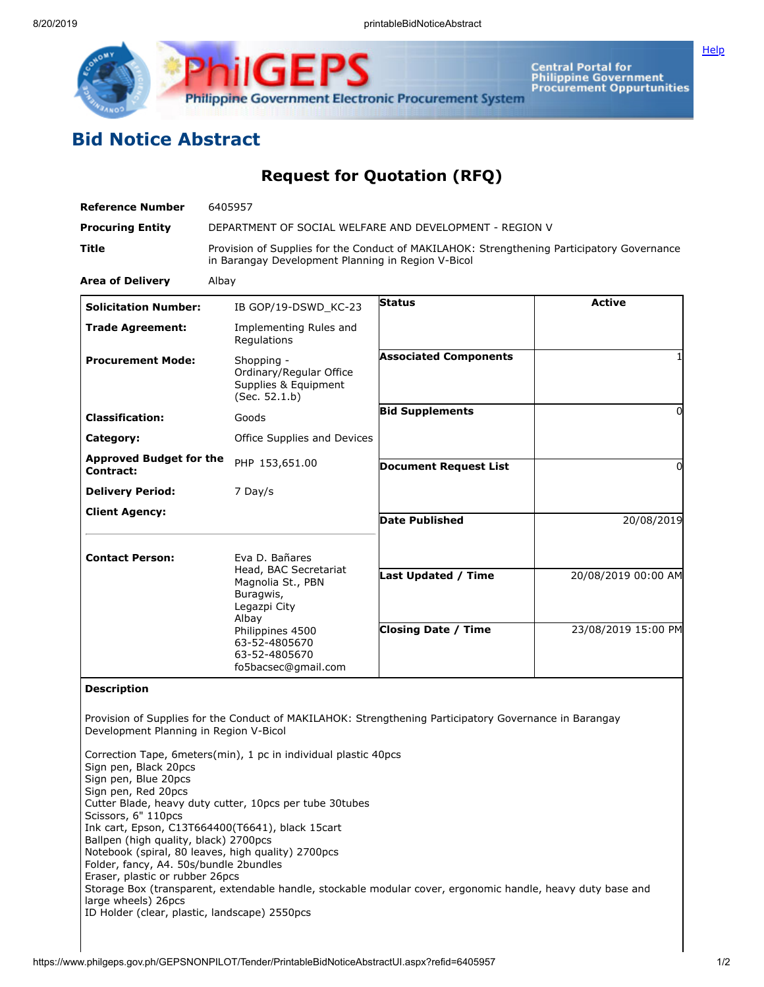

Central Portal for<br>Philippine Government<br>Procurement Oppurtunities Philippine Government Electronic Procurement System

## **Bid Notice Abstract**

## **Request for Quotation (RFQ)**

| <b>Reference Number</b>                     | 6405957                                                                                                                                                       |                              |                     |
|---------------------------------------------|---------------------------------------------------------------------------------------------------------------------------------------------------------------|------------------------------|---------------------|
| <b>Procuring Entity</b>                     | DEPARTMENT OF SOCIAL WELFARE AND DEVELOPMENT - REGION V                                                                                                       |                              |                     |
| <b>Title</b>                                | Provision of Supplies for the Conduct of MAKILAHOK: Strengthening Participatory Governance<br>in Barangay Development Planning in Region V-Bicol              |                              |                     |
| <b>Area of Delivery</b>                     | Albay                                                                                                                                                         |                              |                     |
| <b>Solicitation Number:</b>                 | IB GOP/19-DSWD_KC-23                                                                                                                                          | <b>Status</b>                | <b>Active</b>       |
| <b>Trade Agreement:</b>                     | Implementing Rules and<br>Regulations                                                                                                                         |                              |                     |
| <b>Procurement Mode:</b>                    | Shopping -<br>Ordinary/Regular Office<br>Supplies & Equipment<br>(Sec. 52.1.b)                                                                                | <b>Associated Components</b> |                     |
| <b>Classification:</b>                      | Goods                                                                                                                                                         | <b>Bid Supplements</b>       | 0                   |
| Category:                                   | Office Supplies and Devices                                                                                                                                   |                              |                     |
| <b>Approved Budget for the</b><br>Contract: | PHP 153,651.00                                                                                                                                                | <b>Document Request List</b> | 0                   |
| <b>Delivery Period:</b>                     | 7 Day/s                                                                                                                                                       |                              |                     |
| <b>Client Agency:</b>                       |                                                                                                                                                               | <b>Date Published</b>        | 20/08/2019          |
| <b>Contact Person:</b>                      | Eva D. Bañares                                                                                                                                                |                              |                     |
|                                             | Head, BAC Secretariat<br>Magnolia St., PBN<br>Buragwis,<br>Legazpi City<br>Albay<br>Philippines 4500<br>63-52-4805670<br>63-52-4805670<br>fo5bacsec@gmail.com | Last Updated / Time          | 20/08/2019 00:00 AM |
|                                             |                                                                                                                                                               | <b>Closing Date / Time</b>   | 23/08/2019 15:00 PM |
| <b>Description</b>                          | Provision of Supplies for the Conduct of MAKILAHOK: Strengthening Participatory Governance in Barangay                                                        |                              |                     |
| Development Planning in Region V-Bicol      |                                                                                                                                                               |                              |                     |

Correction Tape, 6meters(min), 1 pc in individual plastic 40pcs Sign pen, Black 20pcs Sign pen, Blue 20pcs Sign pen, Red 20pcs Cutter Blade, heavy duty cutter, 10pcs per tube 30tubes Scissors, 6" 110pcs Ink cart, Epson, C13T664400(T6641), black 15cart Ballpen (high quality, black) 2700pcs Notebook (spiral, 80 leaves, high quality) 2700pcs Folder, fancy, A4. 50s/bundle 2bundles Eraser, plastic or rubber 26pcs Storage Box (transparent, extendable handle, stockable modular cover, ergonomic handle, heavy duty base and large wheels) 26pcs ID Holder (clear, plastic, landscape) 2550pcs